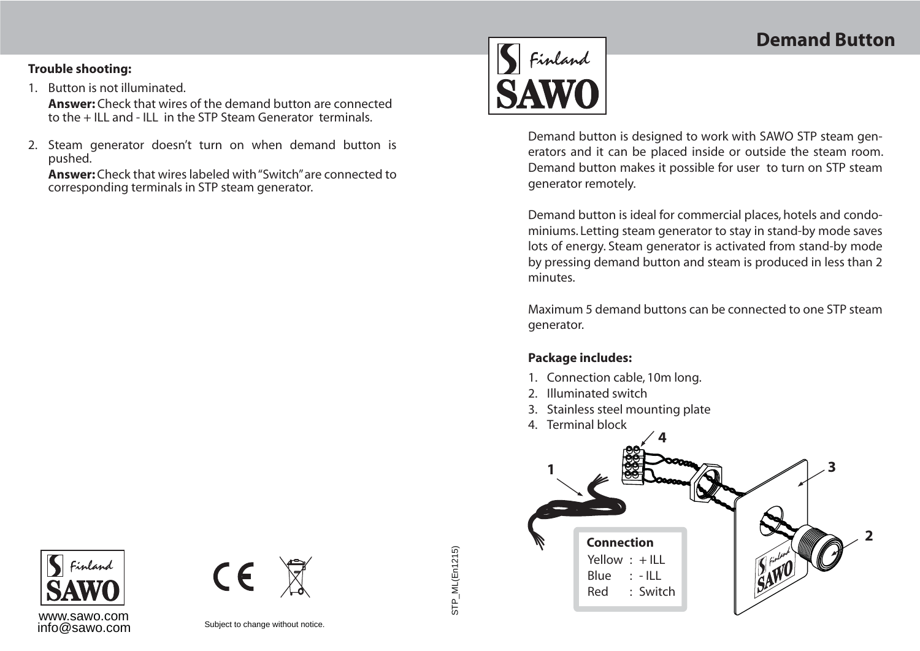## **Trouble shooting:**

1. Button is not illuminated.

**Answer:** Check that wires of the demand button are connectedto the + ILL and - ILL in the STP Steam Generator terminals.

2. Steam generator doesn't turn on when demand button is pushed.

**Answer:** Check that wires labeled with "Switch" are connected to corresponding terminals in STP steam generator.



Demand button is designed to work with SAWO STP steam generators and it can be placed inside or outside the steam room. Demand button makes it possible for user to turn on STP steam generator remotely.

Demand button is ideal for commercial places, hotels and condominiums. Letting steam generator to stay in stand-by mode saves lots of energy. Steam generator is activated from stand-by mode by pressing demand button and steam is produced in less than 2 minutes.

Maximum 5 demand buttons can be connected to one STP steam generator.

## **Package includes:**

- 1. Connection cable, 10m long.
- 2. Illuminated switch
- 3. Stainless steel mounting plate
- 4. Terminal block